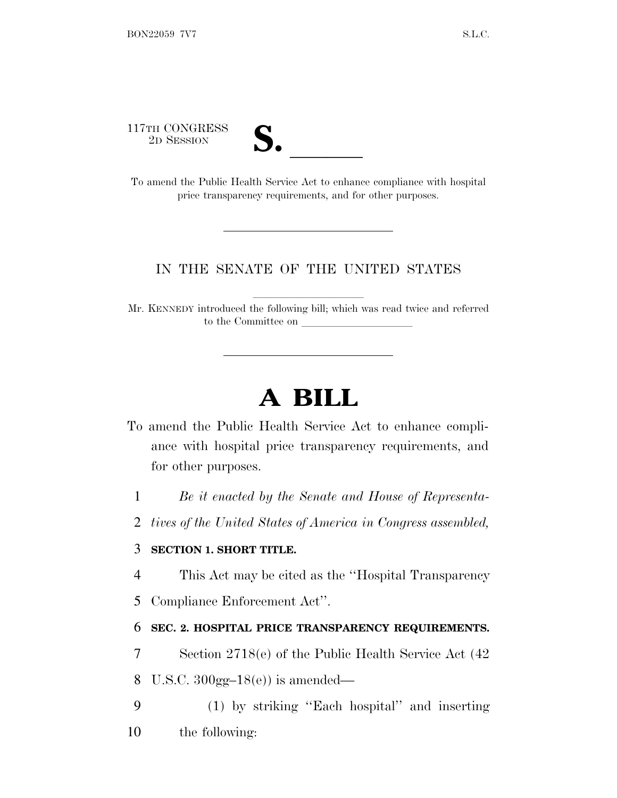117TH CONGRESS

| v.<br>$\overline{\phantom{a}}$ |  |
|--------------------------------|--|

<sup>2</sup><sup>D</sup> <sup>S</sup>ESSION **S.** ll To amend the Public Health Service Act to enhance compliance with hospital price transparency requirements, and for other purposes.

## IN THE SENATE OF THE UNITED STATES

Mr. KENNEDY introduced the following bill; which was read twice and referred to the Committee on

## **A BILL**

- To amend the Public Health Service Act to enhance compliance with hospital price transparency requirements, and for other purposes.
	- 1 *Be it enacted by the Senate and House of Representa-*
	- 2 *tives of the United States of America in Congress assembled,*

## 3 **SECTION 1. SHORT TITLE.**

- 4 This Act may be cited as the ''Hospital Transparency
- 5 Compliance Enforcement Act''.

## 6 **SEC. 2. HOSPITAL PRICE TRANSPARENCY REQUIREMENTS.**

- 7 Section 2718(e) of the Public Health Service Act (42
- 8 U.S.C. 300gg–18(e)) is amended—
- 9 (1) by striking ''Each hospital'' and inserting
- 10 the following: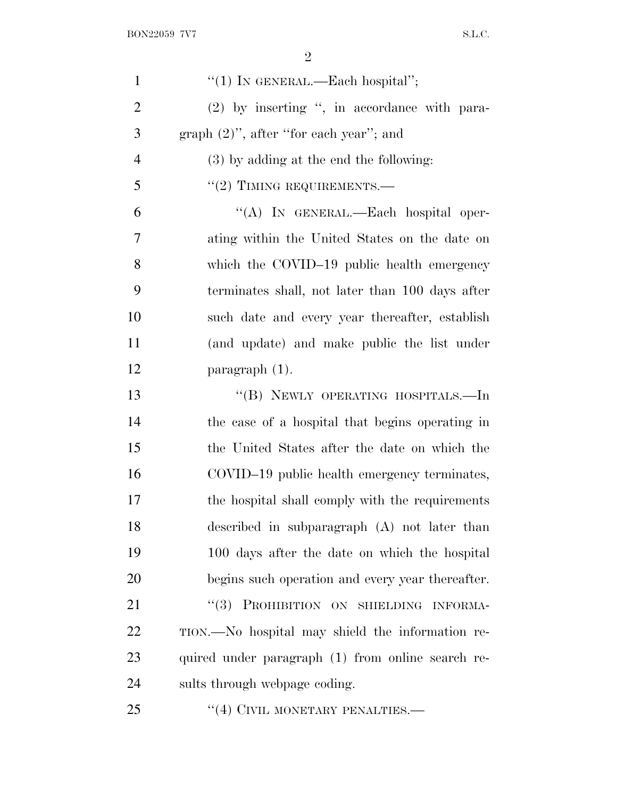| $\mathbf{1}$   | "(1) IN GENERAL.—Each hospital";                  |
|----------------|---------------------------------------------------|
| $\overline{2}$ | (2) by inserting ", in accordance with para-      |
| 3              | graph $(2)$ ", after "for each year"; and         |
| $\overline{4}$ | $(3)$ by adding at the end the following:         |
| 5              | $"(2)$ TIMING REQUIREMENTS.—                      |
| 6              | "(A) IN GENERAL.—Each hospital oper-              |
| 7              | ating within the United States on the date on     |
| 8              | which the COVID-19 public health emergency        |
| 9              | terminates shall, not later than 100 days after   |
| 10             | such date and every year thereafter, establish    |
| 11             | (and update) and make public the list under       |
| 12             | paragraph $(1)$ .                                 |
| 13             | "(B) NEWLY OPERATING HOSPITALS.—In                |
| 14             | the case of a hospital that begins operating in   |
| 15             | the United States after the date on which the     |
| 16             | COVID-19 public health emergency terminates,      |
| 17             | the hospital shall comply with the requirements   |
| 18             | described in subparagraph (A) not later than      |
| 19             | 100 days after the date on which the hospital     |
| 20             | begins such operation and every year thereafter.  |
| 21             | "(3) PROHIBITION ON SHIELDING INFORMA-            |
| 22             | TION.—No hospital may shield the information re-  |
| 23             | quired under paragraph (1) from online search re- |
| 24             | sults through webpage coding.                     |
| 25             | $\cdot$ (4) CIVIL MONETARY PENALTIES.—            |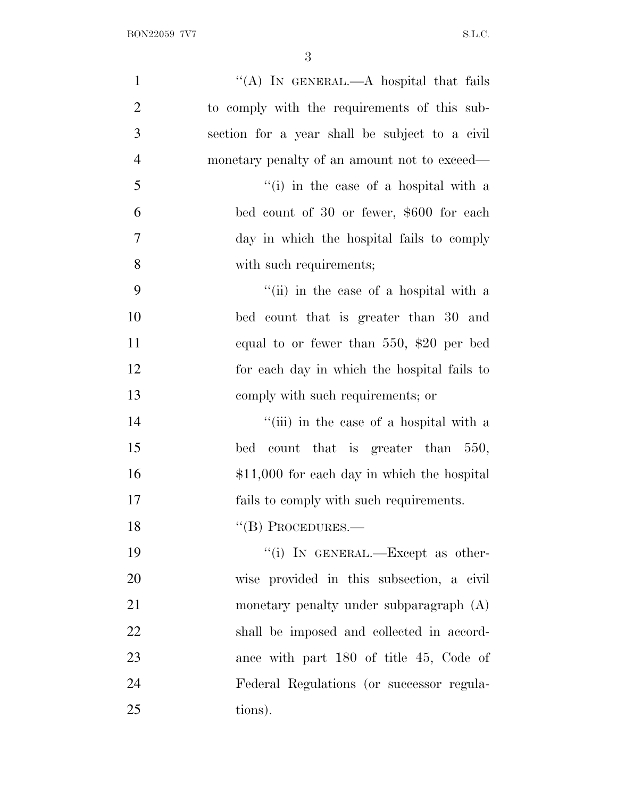| $\mathbf{1}$   | "(A) IN GENERAL.—A hospital that fails         |
|----------------|------------------------------------------------|
| $\overline{2}$ | to comply with the requirements of this sub-   |
| 3              | section for a year shall be subject to a civil |
| $\overline{4}$ | monetary penalty of an amount not to exceed—   |
| 5              | "(i) in the case of a hospital with a          |
| 6              | bed count of 30 or fewer, \$600 for each       |
| $\tau$         | day in which the hospital fails to comply      |
| 8              | with such requirements;                        |
| 9              | "(ii) in the case of a hospital with a         |
| 10             | bed count that is greater than 30 and          |
| 11             | equal to or fewer than $550,$ \$20 per bed     |
| 12             | for each day in which the hospital fails to    |
| 13             | comply with such requirements; or              |
| 14             | "(iii) in the case of a hospital with a        |
| 15             | count that is greater than 550,<br>bed         |
| 16             | $$11,000$ for each day in which the hospital   |
| 17             | fails to comply with such requirements.        |
| 18             | $``$ (B) PROCEDURES.—                          |
| 19             | "(i) IN GENERAL.—Except as other-              |
| 20             | wise provided in this subsection, a civil      |
| 21             | monetary penalty under subparagraph (A)        |
| 22             | shall be imposed and collected in accord-      |
| 23             | ance with part 180 of title 45, Code of        |
| 24             | Federal Regulations (or successor regula-      |
| 25             | tions).                                        |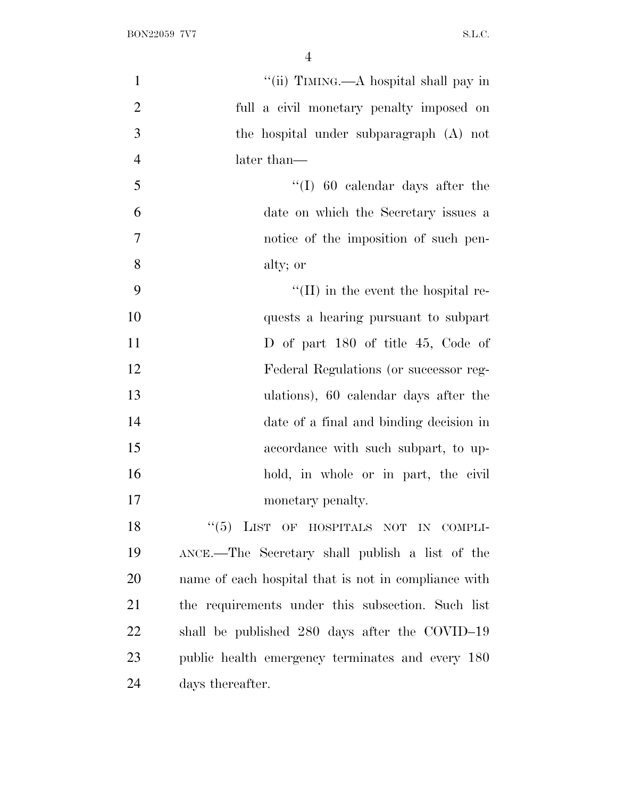| $\mathbf{1}$   | "(ii) TIMING.—A hospital shall pay in                |
|----------------|------------------------------------------------------|
| $\overline{2}$ | full a civil monetary penalty imposed on             |
| 3              | the hospital under subparagraph (A) not              |
| $\overline{4}$ | later than—                                          |
| 5              | $\lq(1)$ 60 calendar days after the                  |
| 6              | date on which the Secretary issues a                 |
| $\overline{7}$ | notice of the imposition of such pen-                |
| 8              | alty; or                                             |
| 9              | $\lq\lq$ (II) in the event the hospital re-          |
| 10             | quests a hearing pursuant to subpart                 |
| 11             | D of part 180 of title 45, Code of                   |
| 12             | Federal Regulations (or successor reg-               |
| 13             | ulations), 60 calendar days after the                |
| 14             | date of a final and binding decision in              |
| 15             | accordance with such subpart, to up-                 |
| 16             | hold, in whole or in part, the civil                 |
| 17             | monetary penalty.                                    |
| 18             | "(5) LIST OF HOSPITALS NOT IN COMPLI-                |
| 19             | ANCE.—The Secretary shall publish a list of the      |
| 20             | name of each hospital that is not in compliance with |
| 21             | the requirements under this subsection. Such list    |
| 22             | shall be published 280 days after the COVID-19       |
| 23             | public health emergency terminates and every 180     |
| 24             | days thereafter.                                     |